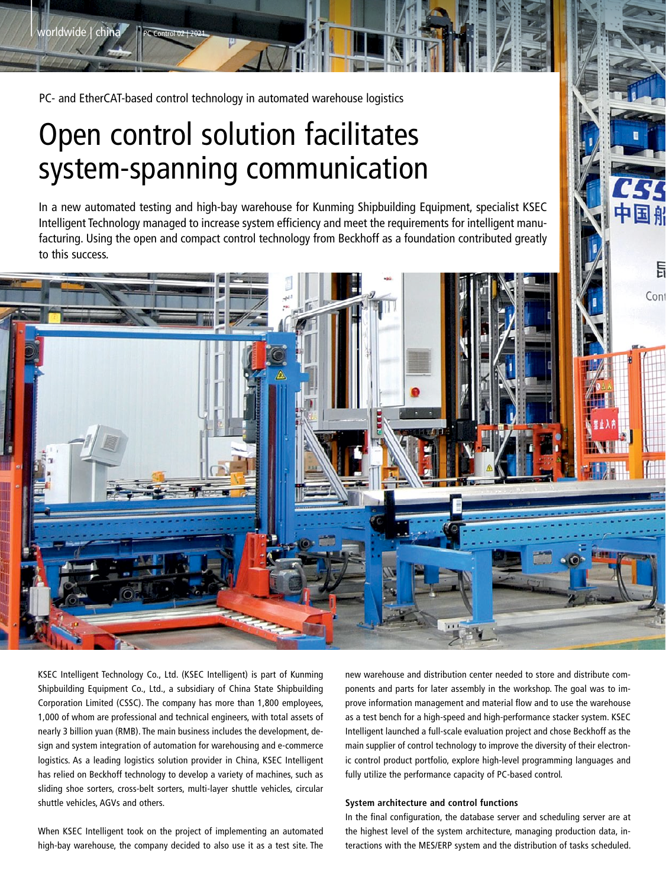PC- and EtherCAT-based control technology in automated warehouse logistics

|

worldwide | china

# Open control solution facilitates system-spanning communication

In a new automated testing and high-bay warehouse for Kunming Shipbuilding Equipment, specialist KSEC Intelligent Technology managed to increase system efficiency and meet the requirements for intelligent manufacturing. Using the open and compact control technology from Beckhoff as a foundation contributed greatly to this success.



KSEC Intelligent Technology Co., Ltd. (KSEC Intelligent) is part of Kunming Shipbuilding Equipment Co., Ltd., a subsidiary of China State Shipbuilding Corporation Limited (CSSC). The company has more than 1,800 employees, 1,000 of whom are professional and technical engineers, with total assets of nearly 3 billion yuan (RMB). The main business includes the development, design and system integration of automation for warehousing and e-commerce logistics. As a leading logistics solution provider in China, KSEC Intelligent has relied on Beckhoff technology to develop a variety of machines, such as sliding shoe sorters, cross-belt sorters, multi-layer shuttle vehicles, circular shuttle vehicles, AGVs and others.

When KSEC Intelligent took on the project of implementing an automated high-bay warehouse, the company decided to also use it as a test site. The new warehouse and distribution center needed to store and distribute components and parts for later assembly in the workshop. The goal was to improve information management and material flow and to use the warehouse as a test bench for a high-speed and high-performance stacker system. KSEC Intelligent launched a full-scale evaluation project and chose Beckhoff as the main supplier of control technology to improve the diversity of their electronic control product portfolio, explore high-level programming languages and fully utilize the performance capacity of PC-based control.

### **System architecture and control functions**

In the final configuration, the database server and scheduling server are at the highest level of the system architecture, managing production data, interactions with the MES/ERP system and the distribution of tasks scheduled.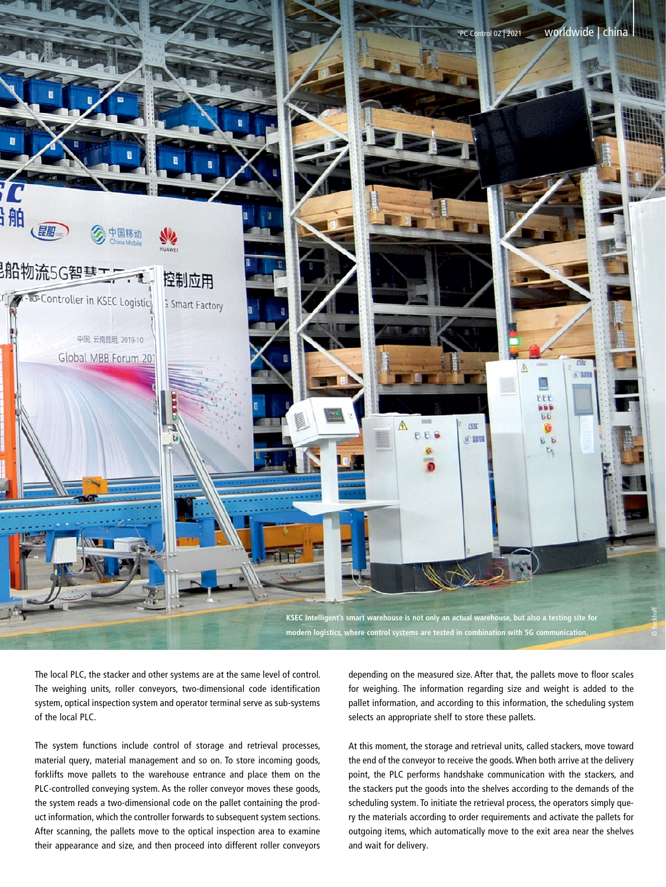

The local PLC, the stacker and other systems are at the same level of control. The weighing units, roller conveyors, two-dimensional code identification system, optical inspection system and operator terminal serve as sub-systems of the local PLC.

The system functions include control of storage and retrieval processes, material query, material management and so on. To store incoming goods, forklifts move pallets to the warehouse entrance and place them on the PLC-controlled conveying system. As the roller conveyor moves these goods, the system reads a two-dimensional code on the pallet containing the product information, which the controller forwards to subsequent system sections. After scanning, the pallets move to the optical inspection area to examine their appearance and size, and then proceed into different roller conveyors depending on the measured size. After that, the pallets move to floor scales for weighing. The information regarding size and weight is added to the pallet information, and according to this information, the scheduling system selects an appropriate shelf to store these pallets.

At this moment, the storage and retrieval units, called stackers, move toward the end of the conveyor to receive the goods. When both arrive at the delivery point, the PLC performs handshake communication with the stackers, and the stackers put the goods into the shelves according to the demands of the scheduling system. To initiate the retrieval process, the operators simply query the materials according to order requirements and activate the pallets for outgoing items, which automatically move to the exit area near the shelves and wait for delivery.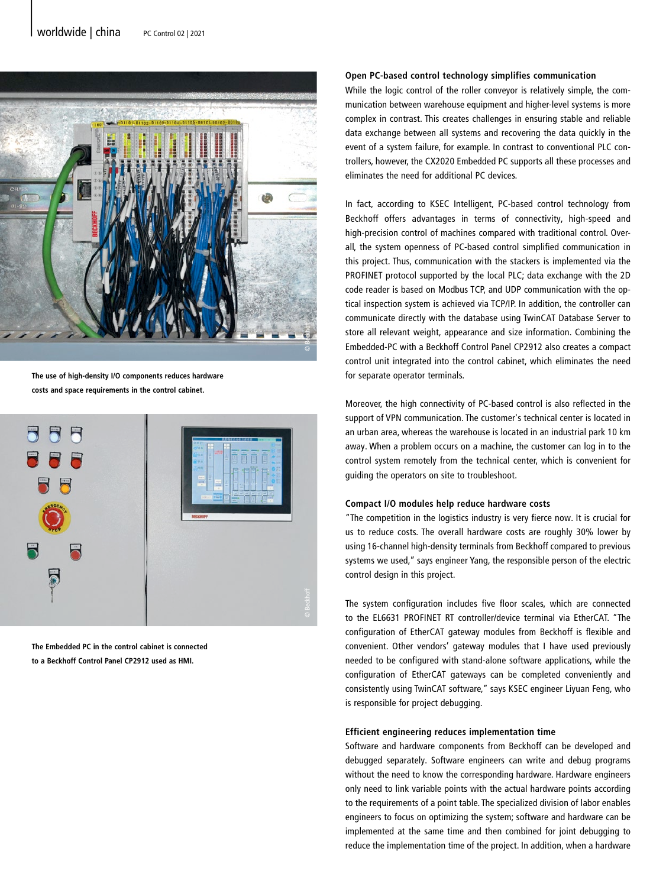

**The use of high-density I/O components reduces hardware costs and space requirements in the control cabinet.**



**The Embedded PC in the control cabinet is connected to a Beckhoff Control Panel CP2912 used as HMI.**

#### **Open PC-based control technology simplifies communication**

While the logic control of the roller conveyor is relatively simple, the communication between warehouse equipment and higher-level systems is more complex in contrast. This creates challenges in ensuring stable and reliable data exchange between all systems and recovering the data quickly in the event of a system failure, for example. In contrast to conventional PLC controllers, however, the CX2020 Embedded PC supports all these processes and eliminates the need for additional PC devices.

In fact, according to KSEC Intelligent, PC-based control technology from Beckhoff offers advantages in terms of connectivity, high-speed and high-precision control of machines compared with traditional control. Overall, the system openness of PC-based control simplified communication in this project. Thus, communication with the stackers is implemented via the PROFINET protocol supported by the local PLC; data exchange with the 2D code reader is based on Modbus TCP, and UDP communication with the optical inspection system is achieved via TCP/IP. In addition, the controller can communicate directly with the database using TwinCAT Database Server to store all relevant weight, appearance and size information. Combining the Embedded-PC with a Beckhoff Control Panel CP2912 also creates a compact control unit integrated into the control cabinet, which eliminates the need for separate operator terminals.

Moreover, the high connectivity of PC-based control is also reflected in the support of VPN communication. The customer's technical center is located in an urban area, whereas the warehouse is located in an industrial park 10 km away. When a problem occurs on a machine, the customer can log in to the control system remotely from the technical center, which is convenient for guiding the operators on site to troubleshoot.

## **Compact I/O modules help reduce hardware costs**

"The competition in the logistics industry is very fierce now. It is crucial for us to reduce costs. The overall hardware costs are roughly 30% lower by using 16-channel high-density terminals from Beckhoff compared to previous systems we used," says engineer Yang, the responsible person of the electric control design in this project.

The system configuration includes five floor scales, which are connected to the EL6631 PROFINET RT controller/device terminal via EtherCAT. "The configuration of EtherCAT gateway modules from Beckhoff is flexible and convenient. Other vendors' gateway modules that I have used previously needed to be configured with stand-alone software applications, while the configuration of EtherCAT gateways can be completed conveniently and consistently using TwinCAT software," says KSEC engineer Liyuan Feng, who is responsible for project debugging.

#### **Efficient engineering reduces implementation time**

Software and hardware components from Beckhoff can be developed and debugged separately. Software engineers can write and debug programs without the need to know the corresponding hardware. Hardware engineers only need to link variable points with the actual hardware points according to the requirements of a point table. The specialized division of labor enables engineers to focus on optimizing the system; software and hardware can be implemented at the same time and then combined for joint debugging to reduce the implementation time of the project. In addition, when a hardware